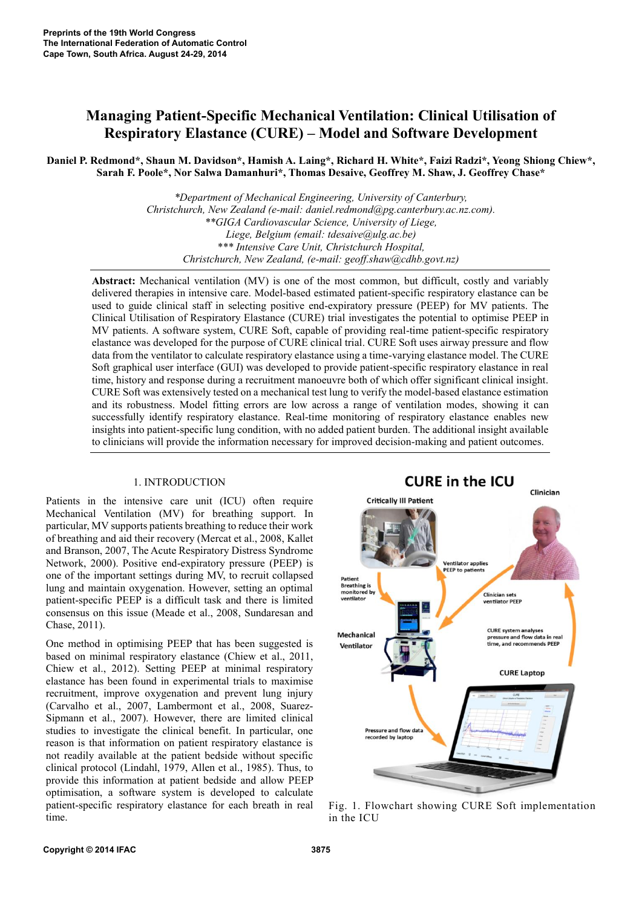# **Managing Patient-Specific Mechanical Ventilation: Clinical Utilisation of Respiratory Elastance (CURE) – Model and Software Development**

**Daniel P. Redmond\*, Shaun M. Davidson\*, Hamish A. Laing\*, Richard H. White\*, Faizi Radzi\*, Yeong Shiong Chiew\*, Sarah F. Poole\*, Nor Salwa Damanhuri\*, Thomas Desaive, Geoffrey M. Shaw, J. Geoffrey Chase\***

> *\*Department of Mechanical Engineering, University of Canterbury, Christchurch, New Zealand (e-mail: daniel.redmond@pg.canterbury.ac.nz.com). \*\*GIGA Cardiovascular Science, University of Liege, Liege, Belgium (email: tdesaive@ulg.ac.be) \*\*\* Intensive Care Unit, Christchurch Hospital, Christchurch, New Zealand, (e-mail: geoff.shaw@cdhb.govt.nz)*

**Abstract:** Mechanical ventilation (MV) is one of the most common, but difficult, costly and variably delivered therapies in intensive care. Model-based estimated patient-specific respiratory elastance can be used to guide clinical staff in selecting positive end-expiratory pressure (PEEP) for MV patients. The Clinical Utilisation of Respiratory Elastance (CURE) trial investigates the potential to optimise PEEP in MV patients. A software system, CURE Soft, capable of providing real-time patient-specific respiratory elastance was developed for the purpose of CURE clinical trial. CURE Soft uses airway pressure and flow data from the ventilator to calculate respiratory elastance using a time-varying elastance model. The CURE Soft graphical user interface (GUI) was developed to provide patient-specific respiratory elastance in real time, history and response during a recruitment manoeuvre both of which offer significant clinical insight. CURE Soft was extensively tested on a mechanical test lung to verify the model-based elastance estimation and its robustness. Model fitting errors are low across a range of ventilation modes, showing it can successfully identify respiratory elastance. Real-time monitoring of respiratory elastance enables new insights into patient-specific lung condition, with no added patient burden. The additional insight available to clinicians will provide the information necessary for improved decision-making and patient outcomes.

### 1. INTRODUCTION

Patients in the intensive care unit (ICU) often require Mechanical Ventilation (MV) for breathing support. In particular, MV supports patients breathing to reduce their work of breathing and aid their recovery (Mercat et al., 2008, Kallet and Branson, 2007, The Acute Respiratory Distress Syndrome Network, 2000). Positive end-expiratory pressure (PEEP) is one of the important settings during MV, to recruit collapsed lung and maintain oxygenation. However, setting an optimal patient-specific PEEP is a difficult task and there is limited consensus on this issue (Meade et al., 2008, Sundaresan and Chase, 2011).

One method in optimising PEEP that has been suggested is based on minimal respiratory elastance (Chiew et al., 2011, Chiew et al., 2012). Setting PEEP at minimal respiratory elastance has been found in experimental trials to maximise recruitment, improve oxygenation and prevent lung injury (Carvalho et al., 2007, Lambermont et al., 2008, Suarez-Sipmann et al., 2007). However, there are limited clinical studies to investigate the clinical benefit. In particular, one reason is that information on patient respiratory elastance is not readily available at the patient bedside without specific clinical protocol (Lindahl, 1979, Allen et al., 1985). Thus, to provide this information at patient bedside and allow PEEP optimisation, a software system is developed to calculate patient-specific respiratory elastance for each breath in real time.



Fig. 1. Flowchart showing CURE Soft implementation in the ICU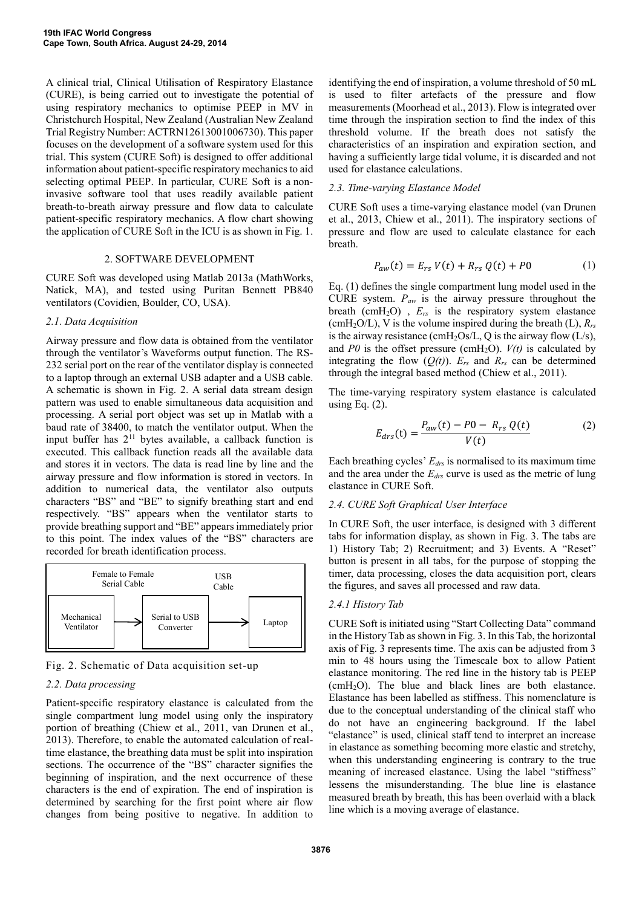A clinical trial, Clinical Utilisation of Respiratory Elastance (CURE), is being carried out to investigate the potential of using respiratory mechanics to optimise PEEP in MV in Christchurch Hospital, New Zealand (Australian New Zealand Trial Registry Number: ACTRN12613001006730). This paper focuses on the development of a software system used for this trial. This system (CURE Soft) is designed to offer additional information about patient-specific respiratory mechanics to aid selecting optimal PEEP. In particular, CURE Soft is a noninvasive software tool that uses readily available patient breath-to-breath airway pressure and flow data to calculate patient-specific respiratory mechanics. A flow chart showing the application of CURE Soft in the ICU is as shown in Fig. 1.

#### 2. SOFTWARE DEVELOPMENT

CURE Soft was developed using Matlab 2013a (MathWorks, Natick, MA), and tested using Puritan Bennett PB840 ventilators (Covidien, Boulder, CO, USA).

### *2.1. Data Acquisition*

Airway pressure and flow data is obtained from the ventilator through the ventilator's Waveforms output function. The RS-232 serial port on the rear of the ventilator display is connected to a laptop through an external USB adapter and a USB cable. A schematic is shown in Fig. 2. A serial data stream design pattern was used to enable simultaneous data acquisition and processing. A serial port object was set up in Matlab with a baud rate of 38400, to match the ventilator output. When the input buffer has  $2^{11}$  bytes available, a callback function is executed. This callback function reads all the available data and stores it in vectors. The data is read line by line and the airway pressure and flow information is stored in vectors. In addition to numerical data, the ventilator also outputs characters "BS" and "BE" to signify breathing start and end respectively. "BS" appears when the ventilator starts to provide breathing support and "BE" appears immediately prior to this point. The index values of the "BS" characters are recorded for breath identification process.



Fig. 2. Schematic of Data acquisition set-up

# *2.2. Data processing*

Patient-specific respiratory elastance is calculated from the single compartment lung model using only the inspiratory portion of breathing (Chiew et al., 2011, van Drunen et al., 2013). Therefore, to enable the automated calculation of realtime elastance, the breathing data must be split into inspiration sections. The occurrence of the "BS" character signifies the beginning of inspiration, and the next occurrence of these characters is the end of expiration. The end of inspiration is determined by searching for the first point where air flow changes from being positive to negative. In addition to

identifying the end of inspiration, a volume threshold of 50 mL is used to filter artefacts of the pressure and flow measurements (Moorhead et al., 2013). Flow is integrated over time through the inspiration section to find the index of this threshold volume. If the breath does not satisfy the characteristics of an inspiration and expiration section, and having a sufficiently large tidal volume, it is discarded and not used for elastance calculations.

### *2.3. Time-varying Elastance Model*

CURE Soft uses a time-varying elastance model (van Drunen et al., 2013, Chiew et al., 2011). The inspiratory sections of pressure and flow are used to calculate elastance for each breath.

$$
P_{aw}(t) = E_{rs} V(t) + R_{rs} Q(t) + P0
$$
 (1)

Eq. (1) defines the single compartment lung model used in the CURE system. *Paw* is the airway pressure throughout the breath (cmH2O) , *Ers* is the respiratory system elastance (cmH<sub>2</sub>O/L), V is the volume inspired during the breath (L),  $R_{rs}$ is the airway resistance (cmH<sub>2</sub>Os/L, Q is the airway flow  $(L/s)$ , and  $P0$  is the offset pressure (cmH<sub>2</sub>O).  $V(t)$  is calculated by integrating the flow  $(O(t))$ .  $E_{rs}$  and  $R_{rs}$  can be determined through the integral based method (Chiew et al., 2011).

The time-varying respiratory system elastance is calculated using Eq.  $(2)$ .

$$
E_{drs}(t) = \frac{P_{aw}(t) - P0 - R_{rs} Q(t)}{V(t)}
$$
 (2)

Each breathing cycles' *Edrs* is normalised to its maximum time and the area under the *Edrs* curve is used as the metric of lung elastance in CURE Soft.

### *2.4. CURE Soft Graphical User Interface*

In CURE Soft, the user interface, is designed with 3 different tabs for information display, as shown in Fig. 3. The tabs are 1) History Tab; 2) Recruitment; and 3) Events. A "Reset" button is present in all tabs, for the purpose of stopping the timer, data processing, closes the data acquisition port, clears the figures, and saves all processed and raw data.

### *2.4.1 History Tab*

CURE Soft is initiated using "Start Collecting Data" command in the History Tab as shown in Fig. 3. In this Tab, the horizontal axis of Fig. 3 represents time. The axis can be adjusted from 3 min to 48 hours using the Timescale box to allow Patient elastance monitoring. The red line in the history tab is PEEP  $(cmH<sub>2</sub>O)$ . The blue and black lines are both elastance. Elastance has been labelled as stiffness. This nomenclature is due to the conceptual understanding of the clinical staff who do not have an engineering background. If the label "elastance" is used, clinical staff tend to interpret an increase in elastance as something becoming more elastic and stretchy, when this understanding engineering is contrary to the true meaning of increased elastance. Using the label "stiffness" lessens the misunderstanding. The blue line is elastance measured breath by breath, this has been overlaid with a black line which is a moving average of elastance.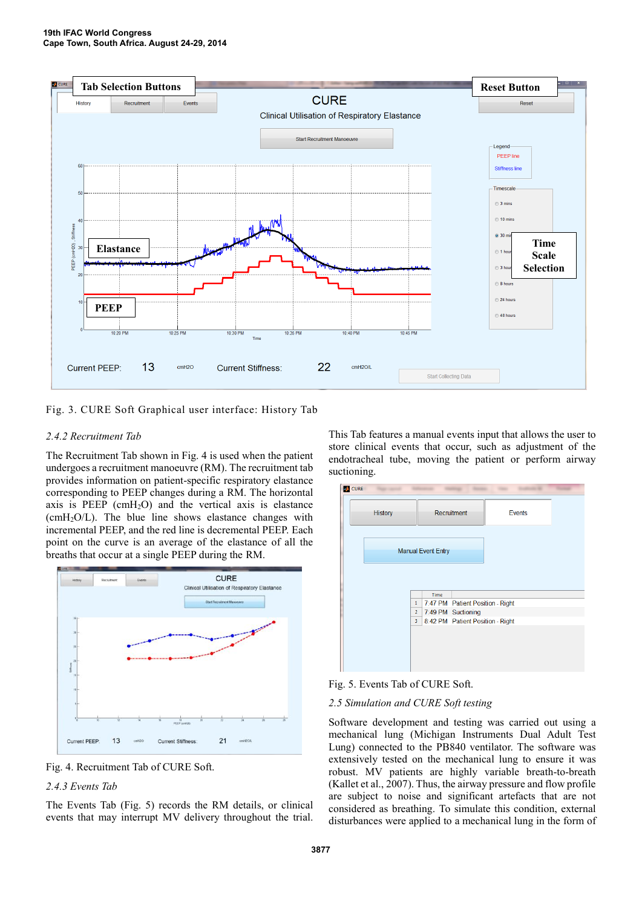

Fig. 3. CURE Soft Graphical user interface: History Tab

# *2.4.2 Recruitment Tab*

The Recruitment Tab shown in Fig. 4 is used when the patient undergoes a recruitment manoeuvre (RM). The recruitment tab provides information on patient-specific respiratory elastance corresponding to PEEP changes during a RM. The horizontal axis is PEEP ( $cmH<sub>2</sub>O$ ) and the vertical axis is elastance  $(cmH<sub>2</sub>O/L)$ . The blue line shows elastance changes with incremental PEEP, and the red line is decremental PEEP. Each point on the curve is an average of the elastance of all the breaths that occur at a single PEEP during the RM.



Fig. 4. Recruitment Tab of CURE Soft.

# *2.4.3 Events Tab*

The Events Tab (Fig. 5) records the RM details, or clinical events that may interrupt MV delivery throughout the trial.

This Tab features a manual events input that allows the user to store clinical events that occur, such as adjustment of the endotracheal tube, moving the patient or perform airway suctioning.



Fig. 5. Events Tab of CURE Soft.

# *2.5 Simulation and CURE Soft testing*

Software development and testing was carried out using a mechanical lung (Michigan Instruments Dual Adult Test Lung) connected to the PB840 ventilator. The software was extensively tested on the mechanical lung to ensure it was robust. MV patients are highly variable breath-to-breath (Kallet et al., 2007). Thus, the airway pressure and flow profile are subject to noise and significant artefacts that are not considered as breathing. To simulate this condition, external disturbances were applied to a mechanical lung in the form of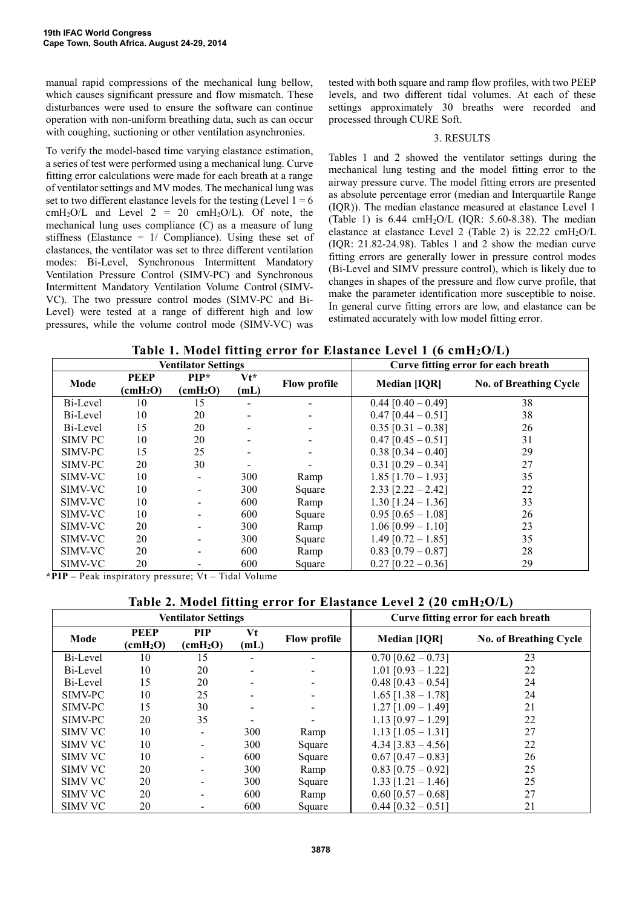manual rapid compressions of the mechanical lung bellow, which causes significant pressure and flow mismatch. These disturbances were used to ensure the software can continue operation with non-uniform breathing data, such as can occur with coughing, suctioning or other ventilation asynchronies.

To verify the model-based time varying elastance estimation, a series of test were performed using a mechanical lung. Curve fitting error calculations were made for each breath at a range of ventilator settings and MV modes. The mechanical lung was set to two different elastance levels for the testing (Level  $1 = 6$ ) cmH<sub>2</sub>O/L and Level  $2 = 20$  cmH<sub>2</sub>O/L). Of note, the mechanical lung uses compliance (C) as a measure of lung stiffness (Elastance  $= 1/$  Compliance). Using these set of elastances, the ventilator was set to three different ventilation modes: Bi-Level, Synchronous Intermittent Mandatory Ventilation Pressure Control (SIMV-PC) and Synchronous Intermittent Mandatory Ventilation Volume Control (SIMV-VC). The two pressure control modes (SIMV-PC and Bi-Level) were tested at a range of different high and low pressures, while the volume control mode (SIMV-VC) was

tested with both square and ramp flow profiles, with two PEEP levels, and two different tidal volumes. At each of these settings approximately 30 breaths were recorded and processed through CURE Soft.

### 3. RESULTS

Tables 1 and 2 showed the ventilator settings during the mechanical lung testing and the model fitting error to the airway pressure curve. The model fitting errors are presented as absolute percentage error (median and Interquartile Range (IQR)). The median elastance measured at elastance Level 1 (Table 1) is  $6.44 \text{ cm}H_2O/L$  (IQR: 5.60-8.38). The median elastance at elastance Level 2 (Table 2) is 22.22 cmH2O/L (IQR: 21.82-24.98). Tables 1 and 2 show the median curve fitting errors are generally lower in pressure control modes (Bi-Level and SIMV pressure control), which is likely due to changes in shapes of the pressure and flow curve profile, that make the parameter identification more susceptible to noise. In general curve fitting errors are low, and elastance can be estimated accurately with low model fitting error.

|  |  |  |  | Table 1. Model fitting error for Elastance Level 1 (6 cmH2O/L) $\,$ |  |
|--|--|--|--|---------------------------------------------------------------------|--|
|  |  |  |  |                                                                     |  |

|                |                                         | <b>Ventilator Settings</b>         |                | Curve fitting error for each breath |                      |                               |
|----------------|-----------------------------------------|------------------------------------|----------------|-------------------------------------|----------------------|-------------------------------|
| Mode           | <b>PEEP</b><br>$\text{(cmH}_2\text{O})$ | $PIP*$<br>$\text{(cmH}_2\text{O})$ | $Vt^*$<br>(mL) | <b>Flow profile</b>                 | <b>Median [IQR]</b>  | <b>No. of Breathing Cycle</b> |
| Bi-Level       | 10                                      | 15                                 | -              |                                     | $0.44$ [0.40 - 0.49] | 38                            |
| Bi-Level       | 10                                      | 20                                 |                |                                     | $0.47$ [0.44 - 0.51] | 38                            |
| Bi-Level       | 15                                      | 20                                 |                |                                     | $0.35$ [0.31 - 0.38] | 26                            |
| <b>SIMV PC</b> | 10                                      | 20                                 |                |                                     | $0.47$ [0.45 - 0.51] | 31                            |
| SIMV-PC        | 15                                      | 25                                 |                |                                     | $0.38$ [0.34 - 0.40] | 29                            |
| SIMV-PC        | 20                                      | 30                                 |                |                                     | $0.31$ [0.29 - 0.34] | 27                            |
| SIMV-VC        | 10                                      | $\overline{\phantom{a}}$           | 300            | Ramp                                | $1.85$ [1.70 - 1.93] | 35                            |
| SIMV-VC        | 10                                      | $\blacksquare$                     | 300            | Square                              | $2.33$ [2.22 - 2.42] | 22                            |
| SIMV-VC        | 10                                      |                                    | 600            | Ramp                                | $1.30$ [1.24 - 1.36] | 33                            |
| SIMV-VC        | 10                                      |                                    | 600            | Square                              | $0.95$ [0.65 - 1.08] | 26                            |
| SIMV-VC        | 20                                      |                                    | 300            | Ramp                                | $1.06$ [0.99 - 1.10] | 23                            |
| SIMV-VC        | 20                                      |                                    | 300            | Square                              | $1.49$ [0.72 - 1.85] | 35                            |
| SIMV-VC        | 20                                      |                                    | 600            | Ramp                                | $0.83$ [0.79 - 0.87] | 28                            |
| SIMV-VC        | 20                                      |                                    | 600            | Square                              | $0.27$ [0.22 - 0.36] | 29                            |

**\*PIP –** Peak inspiratory pressure; Vt – Tidal Volume

# **Table 2. Model fitting error for Elastance Level 2 (20 cmH2O/L)**

|                |                                         | <b>Ventilator Settings</b>      |            | Curve fitting error for each breath |                        |                               |
|----------------|-----------------------------------------|---------------------------------|------------|-------------------------------------|------------------------|-------------------------------|
| Mode           | <b>PEEP</b><br>$\text{(cmH}_2\text{O})$ | PIP<br>$\text{(cmH}_2\text{O})$ | Vt<br>(mL) | <b>Flow profile</b>                 | <b>Median [IQR]</b>    | <b>No. of Breathing Cycle</b> |
| Bi-Level       | 10                                      | 15                              |            |                                     | $0.70$ [0.62 - 0.73]   | 23                            |
| Bi-Level       | 10                                      | 20                              |            |                                     | $1.01$ [0.93 - 1.22]   | 22                            |
| Bi-Level       | 15                                      | 20                              |            | $\blacksquare$                      | $0.48$ [0.43 - 0.54]   | 24                            |
| SIMV-PC        | 10                                      | 25                              |            |                                     | $1.65$ [1.38 - 1.78]   | 24                            |
| SIMV-PC        | 15                                      | 30                              |            |                                     | $1.27$ [1.09 - 1.49]   | 21                            |
| SIMV-PC        | 20                                      | 35                              |            |                                     | $1.13$ [0.97 - 1.29]   | 22                            |
| <b>SIMV VC</b> | 10                                      |                                 | 300        | Ramp                                | $1.13$ [1.05 - 1.31]   | 27                            |
| <b>SIMV VC</b> | 10                                      |                                 | 300        | Square                              | $4.34$ [3.83 - 4.56]   | 22                            |
| <b>SIMV VC</b> | 10                                      |                                 | 600        | Square                              | $0.67$ [0.47 - 0.83]   | 26                            |
| <b>SIMV VC</b> | 20                                      |                                 | 300        | Ramp                                | $0.83$ [0.75 - 0.92]   | 25                            |
| <b>SIMV VC</b> | 20                                      |                                 | 300        | Square                              | $1.33$ [1.21 - 1.46]   | 25                            |
| <b>SIMV VC</b> | 20                                      |                                 | 600        | Ramp                                | $0.60$ [0.57 - 0.68]   | 27                            |
| <b>SIMV VC</b> | 20                                      |                                 | 600        | Square                              | $0.44$ $[0.32 - 0.51]$ | 21                            |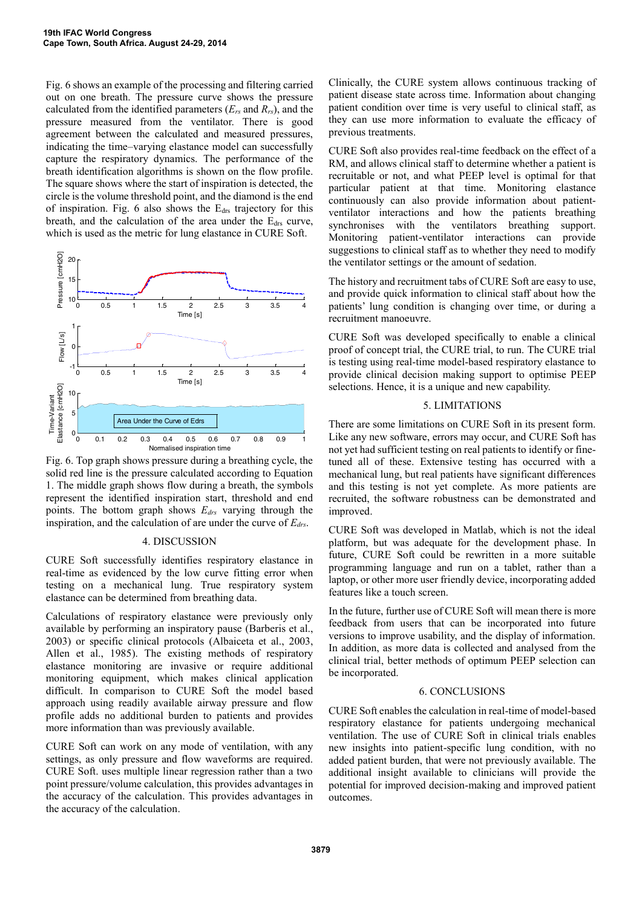Fig. 6 shows an example of the processing and filtering carried out on one breath. The pressure curve shows the pressure calculated from the identified parameters  $(E_{rs}$  and  $R_{rs}$ ), and the pressure measured from the ventilator. There is good agreement between the calculated and measured pressures, indicating the time–varying elastance model can successfully capture the respiratory dynamics. The performance of the breath identification algorithms is shown on the flow profile. The square shows where the start of inspiration is detected, the circle is the volume threshold point, and the diamond is the end of inspiration. Fig. 6 also shows the  $E_{ds}$  trajectory for this breath, and the calculation of the area under the  $E_{\text{drs}}$  curve, which is used as the metric for lung elastance in CURE Soft.



Fig. 6. Top graph shows pressure during a breathing cycle, the solid red line is the pressure calculated according to Equation 1. The middle graph shows flow during a breath, the symbols represent the identified inspiration start, threshold and end points. The bottom graph shows *Edrs* varying through the inspiration, and the calculation of are under the curve of *Edrs*.

### 4. DISCUSSION

CURE Soft successfully identifies respiratory elastance in real-time as evidenced by the low curve fitting error when testing on a mechanical lung. True respiratory system elastance can be determined from breathing data.

Calculations of respiratory elastance were previously only available by performing an inspiratory pause (Barberis et al., 2003) or specific clinical protocols (Albaiceta et al., 2003, Allen et al., 1985). The existing methods of respiratory elastance monitoring are invasive or require additional monitoring equipment, which makes clinical application difficult. In comparison to CURE Soft the model based approach using readily available airway pressure and flow profile adds no additional burden to patients and provides more information than was previously available.

CURE Soft can work on any mode of ventilation, with any settings, as only pressure and flow waveforms are required. CURE Soft. uses multiple linear regression rather than a two point pressure/volume calculation, this provides advantages in the accuracy of the calculation. This provides advantages in the accuracy of the calculation.

Clinically, the CURE system allows continuous tracking of patient disease state across time. Information about changing patient condition over time is very useful to clinical staff, as they can use more information to evaluate the efficacy of previous treatments.

CURE Soft also provides real-time feedback on the effect of a RM, and allows clinical staff to determine whether a patient is recruitable or not, and what PEEP level is optimal for that particular patient at that time. Monitoring elastance continuously can also provide information about patientventilator interactions and how the patients breathing synchronises with the ventilators breathing support. Monitoring patient-ventilator interactions can provide suggestions to clinical staff as to whether they need to modify the ventilator settings or the amount of sedation.

The history and recruitment tabs of CURE Soft are easy to use, and provide quick information to clinical staff about how the patients' lung condition is changing over time, or during a recruitment manoeuvre.

CURE Soft was developed specifically to enable a clinical proof of concept trial, the CURE trial, to run. The CURE trial is testing using real-time model-based respiratory elastance to provide clinical decision making support to optimise PEEP selections. Hence, it is a unique and new capability.

## 5. LIMITATIONS

There are some limitations on CURE Soft in its present form. Like any new software, errors may occur, and CURE Soft has not yet had sufficient testing on real patients to identify or finetuned all of these. Extensive testing has occurred with a mechanical lung, but real patients have significant differences and this testing is not yet complete. As more patients are recruited, the software robustness can be demonstrated and improved.

CURE Soft was developed in Matlab, which is not the ideal platform, but was adequate for the development phase. In future, CURE Soft could be rewritten in a more suitable programming language and run on a tablet, rather than a laptop, or other more user friendly device, incorporating added features like a touch screen.

In the future, further use of CURE Soft will mean there is more feedback from users that can be incorporated into future versions to improve usability, and the display of information. In addition, as more data is collected and analysed from the clinical trial, better methods of optimum PEEP selection can be incorporated.

# 6. CONCLUSIONS

CURE Soft enables the calculation in real-time of model-based respiratory elastance for patients undergoing mechanical ventilation. The use of CURE Soft in clinical trials enables new insights into patient-specific lung condition, with no added patient burden, that were not previously available. The additional insight available to clinicians will provide the potential for improved decision-making and improved patient outcomes.